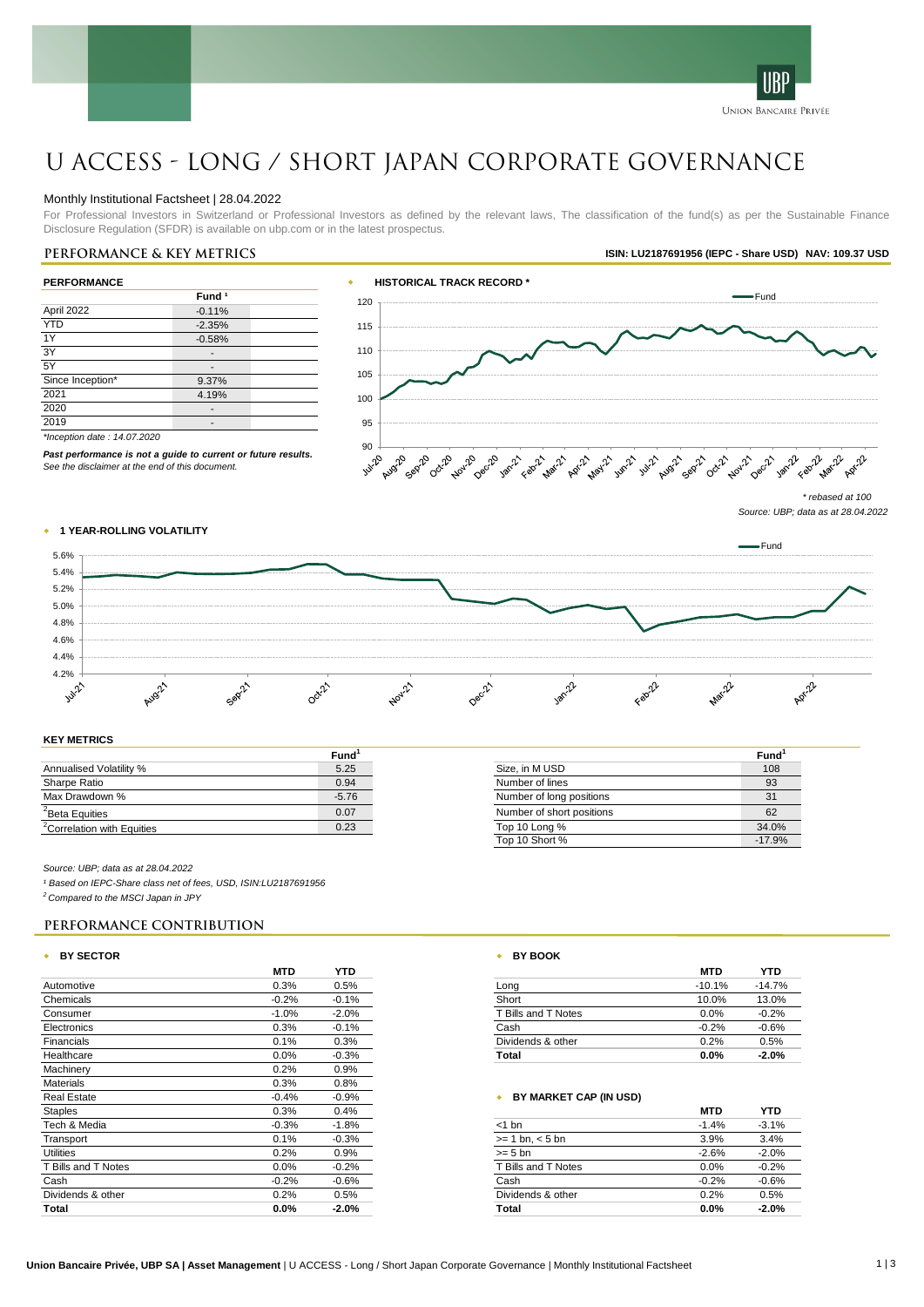

# U ACCESS - Long / Short Japan Corporate Governance

#### Monthly Institutional Factsheet | 28.04.2022

For Professional Investors in Switzerland or Professional Investors as defined by the relevant laws, The classification of the fund(s) as per the Sustainable Finance Disclosure Regulation (SFDR) is available on ubp.com or in the latest prospectus.

# **Performance & key metrics ISIN: LU2187691956 (IEPC - Share USD) NAV: 109.37 USD**

| <b>PERFORMANCE</b>          |                   |  |  |
|-----------------------------|-------------------|--|--|
|                             | Fund <sup>1</sup> |  |  |
| April 2022                  | $-0.11%$          |  |  |
| <b>YTD</b>                  | $-2.35%$          |  |  |
| 1Y                          | $-0.58%$          |  |  |
| 3Y                          |                   |  |  |
| 5Y                          |                   |  |  |
| Since Inception*            | 9.37%             |  |  |
| 2021                        | 4.19%             |  |  |
| 2020                        |                   |  |  |
| 2019                        |                   |  |  |
| *Inception date: 14.07.2020 |                   |  |  |

*Past performance is not a guide to current or future results.*



*See the disclaimer at the end of this document.*

*Source: UBP; data as at 28.04.2022*

**Fund<sup>1</sup>**

# w **1 YEAR-ROLLING VOLATILITY**



#### **KEY METRICS**

|                                        | Fund <sup>1</sup> |                           | Fund  |
|----------------------------------------|-------------------|---------------------------|-------|
| Annualised Volatility %                | 5.25              | Size, in M USD            | 108   |
| Sharpe Ratio                           | 0.94              | Number of lines           | 93    |
| Max Drawdown %                         | $-5.76$           | Number of long positions  | 31    |
| <sup>2</sup> Beta Equities             | 0.07              | Number of short positions | 62    |
| <sup>2</sup> Correlation with Equities | 0.23              | Top 10 Long %             | 34.0% |

#### *Source: UBP; data as at 28.04.2022*

*¹ Based on IEPC-Share class net of fees, USD, ISIN:LU2187691956*

*<sup>2</sup> Compared to the MSCI Japan in JPY*

# **Performance Contribution**

#### w **BY SECTOR** w **BY BOOK**

|                     | <b>MTD</b> | <b>YTD</b> |                          | <b>MTD</b> | <b>YTD</b> |
|---------------------|------------|------------|--------------------------|------------|------------|
| Automotive          | 0.3%       | 0.5%       | Long                     | $-10.1%$   | $-14.7%$   |
| Chemicals           | $-0.2%$    | $-0.1%$    | Short                    | 10.0%      | 13.0%      |
| Consumer            | $-1.0%$    | $-2.0%$    | <b>Bills and T Notes</b> | 0.0%       | $-0.2%$    |
| Electronics         | 0.3%       | $-0.1%$    | Cash                     | $-0.2%$    | $-0.6%$    |
| Financials          | 0.1%       | 0.3%       | Dividends & other        | 0.2%       | 0.5%       |
| Healthcare          | 0.0%       | $-0.3%$    | Total                    | $0.0\%$    | $-2.0%$    |
| Machinery           | 0.2%       | 0.9%       |                          |            |            |
| <b>Materials</b>    | 0.3%       | 0.8%       |                          |            |            |
| <b>Real Estate</b>  | $-0.4%$    | $-0.9%$    | BY MARKET CAP (IN USD)   |            |            |
| <b>Staples</b>      | 0.3%       | 0.4%       |                          | <b>MTD</b> | <b>YTD</b> |
| Tech & Media        | $-0.3%$    | $-1.8%$    | $<$ 1 bn                 | $-1.4%$    | $-3.1%$    |
| Transport           | 0.1%       | $-0.3%$    | $>= 1$ bn, $< 5$ bn      | 3.9%       | 3.4%       |
| Utilities           | 0.2%       | 0.9%       | $>= 5$ bn                | $-2.6%$    | $-2.0%$    |
| T Bills and T Notes | 0.0%       | $-0.2%$    | T Bills and T Notes      | $0.0\%$    | $-0.2%$    |
| Cash                | $-0.2%$    | $-0.6%$    | Cash                     | $-0.2%$    | $-0.6%$    |
| Dividends & other   | 0.2%       | 0.5%       | Dividends & other        | 0.2%       | 0.5%       |
| Total               | $0.0\%$    | $-2.0%$    | Total                    | $0.0\%$    | $-2.0\%$   |

| <b>MTD</b> | YTD     |
|------------|---------|
| 0.3%       | 0.5%    |
| $-0.2%$    | $-0.1%$ |
| $-1.0%$    | $-2.0%$ |
| 0.3%       | $-0.1%$ |
| 0.1%       | 0.3%    |
| $0.0\%$    | $-0.3%$ |

Top 10 Short % -17.9%

#### **\*** BY MARKET CAP (IN USD)

|                     | MID     | YID     |
|---------------------|---------|---------|
| $<$ 1 bn            | $-1.4%$ | $-3.1%$ |
| $>= 1$ bn, $< 5$ bn | 3.9%    | 3.4%    |
| $>= 5$ bn           | $-2.6%$ | $-2.0%$ |
| T Bills and T Notes | 0.0%    | $-0.2%$ |
| Cash                | $-0.2%$ | $-0.6%$ |
| Dividends & other   | 0.2%    | 0.5%    |
| Total               | 0.0%    | $-2.0%$ |
|                     |         |         |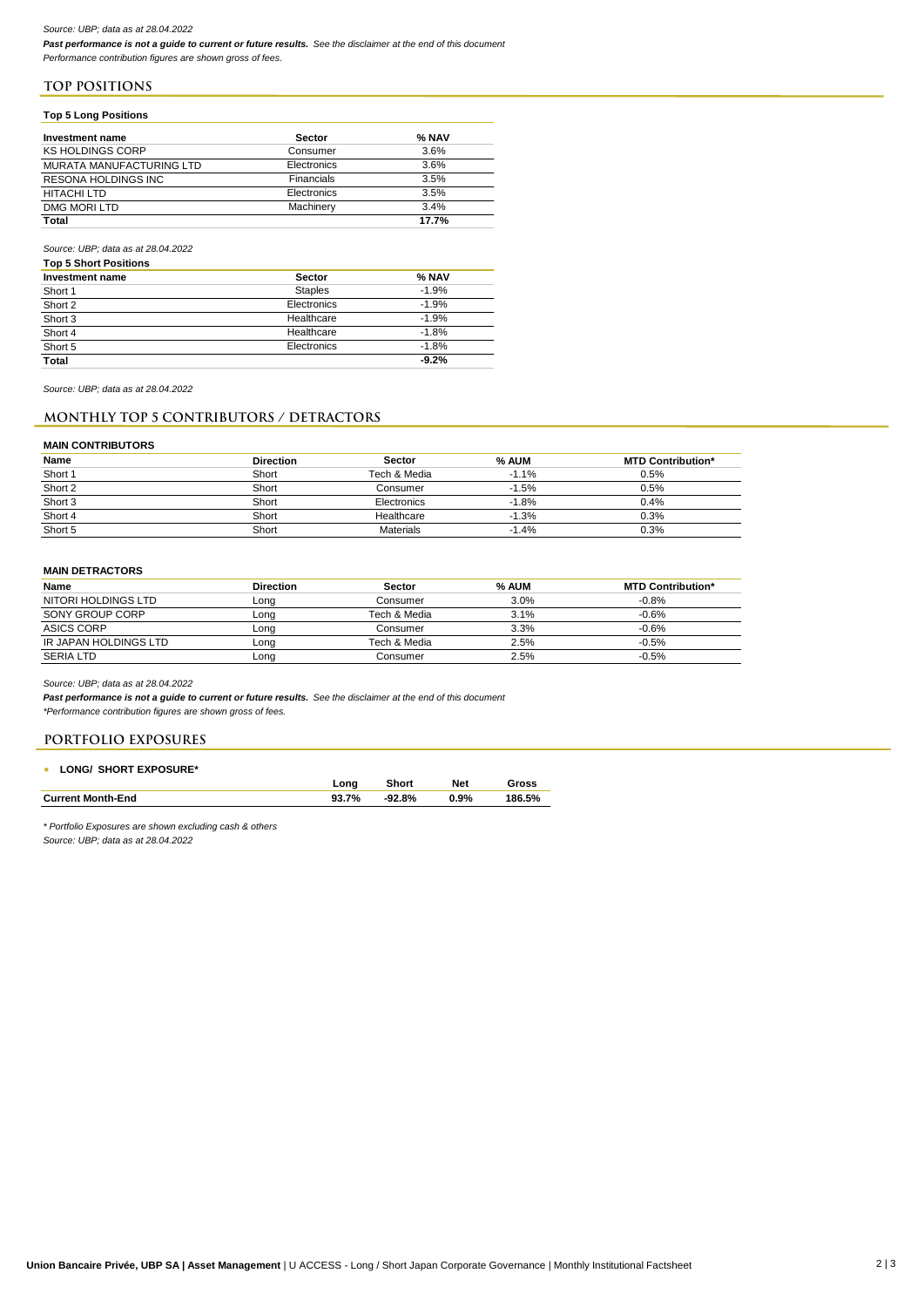### *Source: UBP; data as at 28.04.2022*

*Past performance is not a guide to current or future results. See the disclaimer at the end of this document Performance contribution figures are shown gross of fees.*

**TOP POSITIONS**

### **Top 5 Long Positions**

| Investment name                 | <b>Sector</b> | % NAV |
|---------------------------------|---------------|-------|
| <b>KS HOLDINGS CORP</b>         | Consumer      | 3.6%  |
| <b>MURATA MANUFACTURING LTD</b> | Electronics   | 3.6%  |
| <b>RESONA HOLDINGS INC</b>      | Financials    | 3.5%  |
| HITACHI LTD                     | Electronics   | 3.5%  |
| DMG MORI LTD                    | Machinery     | 3.4%  |
| <b>Total</b>                    |               | 17.7% |

#### *Source: UBP; data as at 28.04.2022*

| <b>Top 5 Short Positions</b> |                |         |
|------------------------------|----------------|---------|
| Investment name              | <b>Sector</b>  | % NAV   |
| Short 1                      | <b>Staples</b> | $-1.9%$ |
| Short 2                      | Electronics    | $-1.9%$ |
| Short 3                      | Healthcare     | $-1.9%$ |
| Short 4                      | Healthcare     | $-1.8%$ |
| Short 5                      | Electronics    | $-1.8%$ |
| <b>Total</b>                 |                | $-9.2%$ |

*Source: UBP; data as at 28.04.2022*

### **Monthly TOP 5 CONTRIBUTORS / DETRACTORS**

#### **MAIN CONTRIBUTORS**

| Name    | <b>Direction</b> | <b>Sector</b>    | % AUM   | <b>MTD Contribution*</b> |
|---------|------------------|------------------|---------|--------------------------|
| Short 1 | Short            | Tech & Media     | $-1.1%$ | 0.5%                     |
| Short 2 | Short            | Consumer         | $-1.5%$ | 0.5%                     |
| Short 3 | Short            | Electronics      | $-1.8%$ | 0.4%                     |
| Short 4 | Short            | Healthcare       | $-1.3%$ | 0.3%                     |
| Short 5 | Short            | <b>Materials</b> | $-1.4%$ | 0.3%                     |

#### **MAIN DETRACTORS**

| Name                  | <b>Direction</b> | Sector       | % AUM | <b>MTD Contribution*</b> |
|-----------------------|------------------|--------------|-------|--------------------------|
| NITORI HOLDINGS LTD   | Long             | Consumer     | 3.0%  | $-0.8%$                  |
| SONY GROUP CORP       | Long             | Tech & Media | 3.1%  | $-0.6%$                  |
| ASICS CORP            | Lona             | Consumer     | 3.3%  | $-0.6%$                  |
| IR JAPAN HOLDINGS LTD | Lona             | Tech & Media | 2.5%  | $-0.5%$                  |
| <b>SERIA LTD</b>      | Lona             | Consumer     | 2.5%  | $-0.5%$                  |

*Source: UBP; data as at 28.04.2022*

*Past performance is not a guide to current or future results. See the disclaimer at the end of this document*

*\*Performance contribution figures are shown gross of fees.*

# **PORTFOLIO EXPOSURES**

|  | <b>LONG/ SHORT EXPOSURE*</b> |
|--|------------------------------|
|  |                              |

|                          | ona   | Short    | Net  | Gross  |
|--------------------------|-------|----------|------|--------|
| <b>Current Month-End</b> | 93.7% | $-92.8%$ | 0.9% | 186.5% |

*\* Portfolio Exposures are shown excluding cash & others*

*Source: UBP; data as at 28.04.2022*